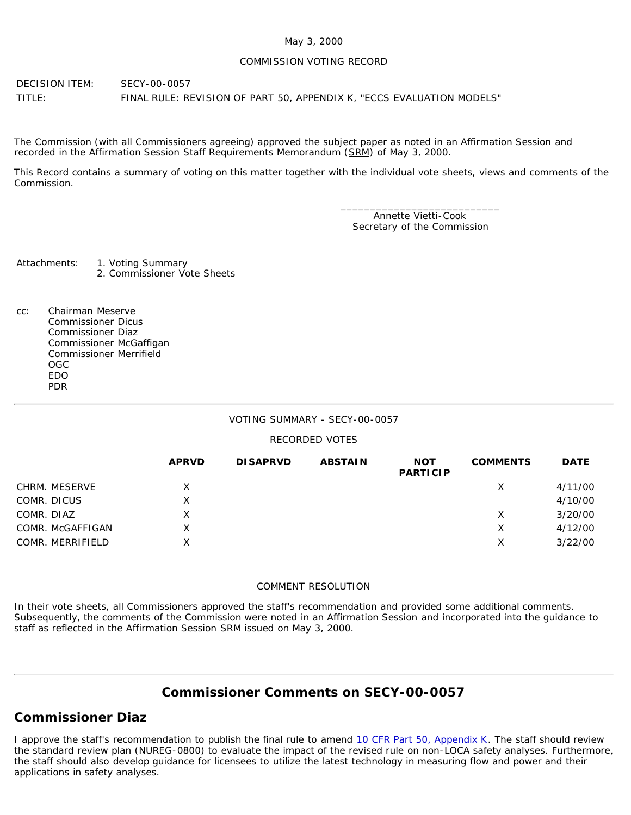#### May 3, 2000

#### COMMISSION VOTING RECORD

DECISION ITEM: SECY-00-0057 TITLE: FINAL RULE: REVISION OF PART 50, APPENDIX K, "ECCS EVALUATION MODELS"

The Commission (with all Commissioners agreeing) approved the subject paper as noted in an Affirmation Session and recorded in the Affirmation Session Staff Requirements Memorandum (SRM) of May 3, 2000.

This Record contains a summary of voting on this matter together with the individual vote sheets, views and comments of the Commission.

> \_\_\_\_\_\_\_\_\_\_\_\_\_\_\_\_\_\_\_\_\_\_\_\_\_\_\_ Annette Vietti-Cook Secretary of the Commission

Attachments: 1. Voting Summary 2. Commissioner Vote Sheets

cc: Chairman Meserve Commissioner Dicus Commissioner Diaz Commissioner McGaffigan Commissioner Merrifield OGC EDO PDR

### VOTING SUMMARY - SECY-00-0057

### RECORDED VOTES

|                  | <b>APRVD</b> | <b>DISAPRVD</b> | <b>ABSTAIN</b> | <b>NOT</b><br><b>PARTICIP</b> | <b>COMMENTS</b> | <b>DATE</b> |
|------------------|--------------|-----------------|----------------|-------------------------------|-----------------|-------------|
| CHRM. MESERVE    | X            |                 |                |                               | X               | 4/11/00     |
| COMR. DICUS      | X.           |                 |                |                               |                 | 4/10/00     |
| COMR. DIAZ       | X            |                 |                |                               | X               | 3/20/00     |
| COMR. McGAFFIGAN | X.           |                 |                |                               | Χ               | 4/12/00     |
| COMR. MERRIFIELD | X.           |                 |                |                               | Х               | 3/22/00     |

#### COMMENT RESOLUTION

In their vote sheets, all Commissioners approved the staff's recommendation and provided some additional comments. Subsequently, the comments of the Commission were noted in an Affirmation Session and incorporated into the guidance to staff as reflected in the Affirmation Session SRM issued on May 3, 2000.

# **Commissioner Comments on [SECY-00-0057](http://www.nrc.gov/reading-rm/doc-collections/commission/secys/2000/secy2000-0057/2000-0057scy.html)**

## **Commissioner Diaz**

I approve the staff's recommendation to publish the final rule to amend [10 CFR Part 50, Appendix K.](http://www.nrc.gov/reading-rm/doc-collections/cfr/part050/part050-appk.html) The staff should review the standard review plan (NUREG-0800) to evaluate the impact of the revised rule on non-LOCA safety analyses. Furthermore, the staff should also develop guidance for licensees to utilize the latest technology in measuring flow and power and their applications in safety analyses.